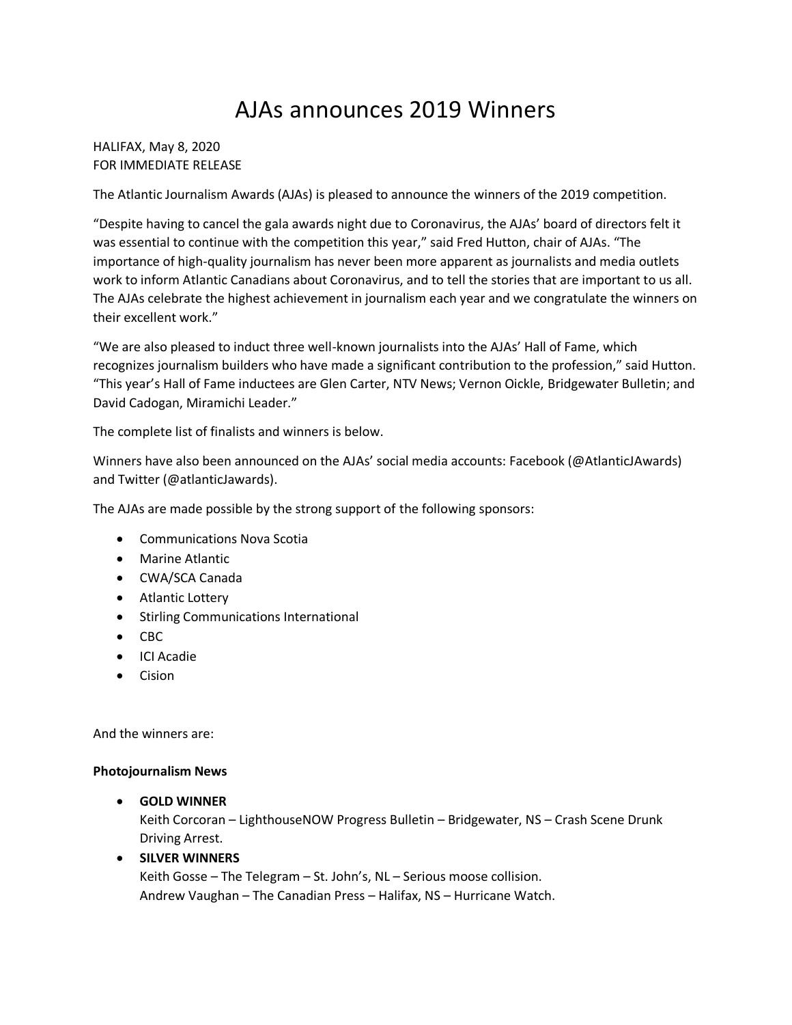# AJAs announces 2019 Winners

HALIFAX, May 8, 2020 FOR IMMEDIATE RELEASE

The Atlantic Journalism Awards (AJAs) is pleased to announce the winners of the 2019 competition.

"Despite having to cancel the gala awards night due to Coronavirus, the AJAs' board of directors felt it was essential to continue with the competition this year," said Fred Hutton, chair of AJAs. "The importance of high-quality journalism has never been more apparent as journalists and media outlets work to inform Atlantic Canadians about Coronavirus, and to tell the stories that are important to us all. The AJAs celebrate the highest achievement in journalism each year and we congratulate the winners on their excellent work."

"We are also pleased to induct three well-known journalists into the AJAs' Hall of Fame, which recognizes journalism builders who have made a significant contribution to the profession," said Hutton. "This year's Hall of Fame inductees are Glen Carter, NTV News; Vernon Oickle, Bridgewater Bulletin; and David Cadogan, Miramichi Leader."

The complete list of finalists and winners is below.

Winners have also been announced on the AJAs' social media accounts: Facebook (@AtlanticJAwards) and Twitter (@atlanticJawards).

The AJAs are made possible by the strong support of the following sponsors:

- Communications Nova Scotia
- Marine Atlantic
- CWA/SCA Canada
- Atlantic Lottery
- Stirling Communications International
- CBC
- ICI Acadie
- Cision

And the winners are:

#### **Photojournalism News**

• **GOLD WINNER**

Keith Corcoran – LighthouseNOW Progress Bulletin – Bridgewater, NS – Crash Scene Drunk Driving Arrest.

• **SILVER WINNERS**

Keith Gosse – The Telegram – St. John's, NL – Serious moose collision. Andrew Vaughan – The Canadian Press – Halifax, NS – Hurricane Watch.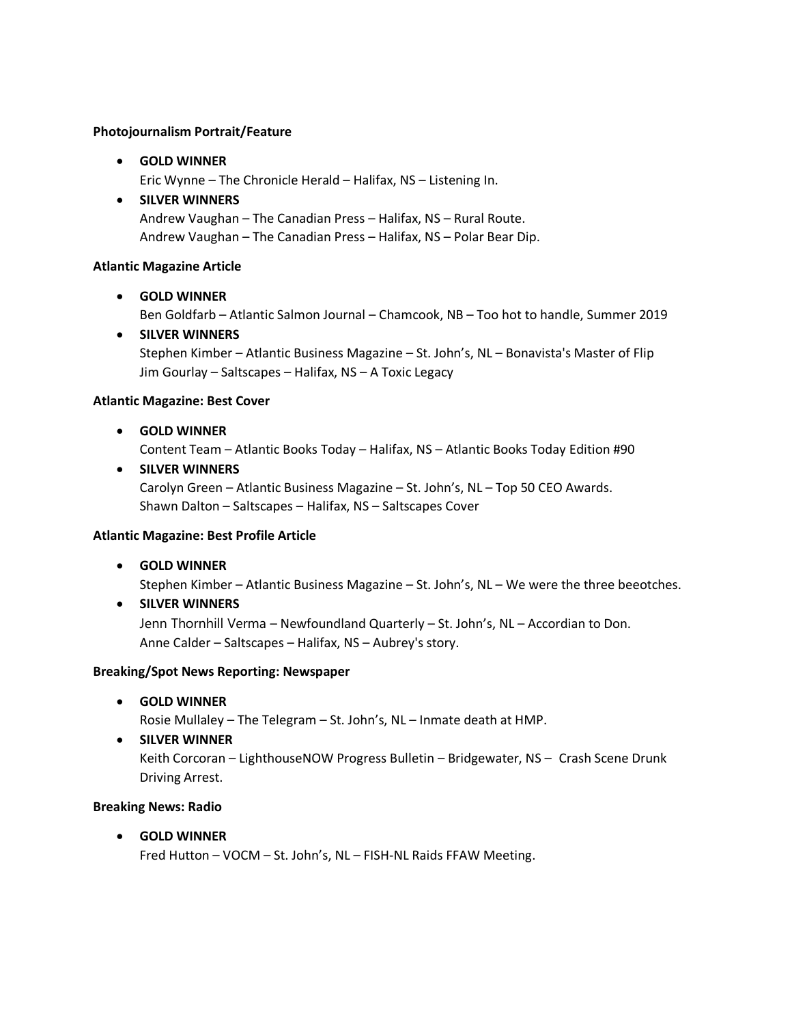#### **Photojournalism Portrait/Feature**

• **GOLD WINNER**

Eric Wynne – The Chronicle Herald – Halifax, NS – Listening In.

#### • **SILVER WINNERS**

Andrew Vaughan – The Canadian Press – Halifax, NS – Rural Route. Andrew Vaughan – The Canadian Press – Halifax, NS – Polar Bear Dip.

#### **Atlantic Magazine Article**

#### • **GOLD WINNER**

Ben Goldfarb – Atlantic Salmon Journal – Chamcook, NB – Too hot to handle, Summer 2019

• **SILVER WINNERS** Stephen Kimber – Atlantic Business Magazine – St. John's, NL – Bonavista's Master of Flip Jim Gourlay – Saltscapes – Halifax, NS – A Toxic Legacy

#### **Atlantic Magazine: Best Cover**

• **GOLD WINNER**

Content Team – Atlantic Books Today – Halifax, NS – Atlantic Books Today Edition #90

• **SILVER WINNERS** Carolyn Green – Atlantic Business Magazine – St. John's, NL – Top 50 CEO Awards. Shawn Dalton – Saltscapes – Halifax, NS – Saltscapes Cover

#### **Atlantic Magazine: Best Profile Article**

• **GOLD WINNER** 

Stephen Kimber – Atlantic Business Magazine – St. John's, NL – We were the three beeotches.

• **SILVER WINNERS**

Jenn Thornhill Verma – Newfoundland Quarterly – St. John's, NL – Accordian to Don. Anne Calder – Saltscapes – Halifax, NS – Aubrey's story.

#### **Breaking/Spot News Reporting: Newspaper**

• **GOLD WINNER**

Rosie Mullaley – The Telegram – St. John's, NL – Inmate death at HMP.

• **SILVER WINNER** Keith Corcoran – LighthouseNOW Progress Bulletin – Bridgewater, NS – Crash Scene Drunk Driving Arrest.

#### **Breaking News: Radio**

• **GOLD WINNER** Fred Hutton – VOCM – St. John's, NL – FISH-NL Raids FFAW Meeting.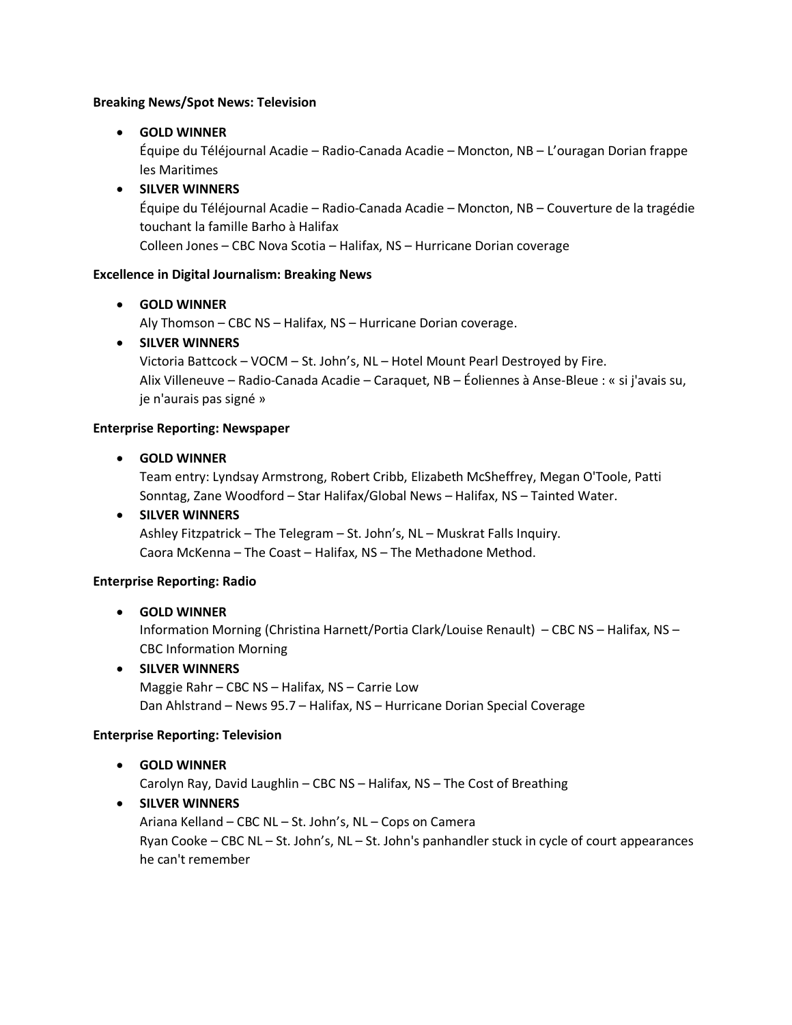#### **Breaking News/Spot News: Television**

# • **GOLD WINNER**

Équipe du Téléjournal Acadie – Radio-Canada Acadie – Moncton, NB – L'ouragan Dorian frappe les Maritimes

# • **SILVER WINNERS**

Équipe du Téléjournal Acadie – Radio-Canada Acadie – Moncton, NB – Couverture de la tragédie touchant la famille Barho à Halifax

Colleen Jones – CBC Nova Scotia – Halifax, NS – Hurricane Dorian coverage

### **Excellence in Digital Journalism: Breaking News**

# • **GOLD WINNER**

Aly Thomson – CBC NS – Halifax, NS – Hurricane Dorian coverage.

# • **SILVER WINNERS**

Victoria Battcock – VOCM – St. John's, NL – Hotel Mount Pearl Destroyed by Fire. Alix Villeneuve – Radio-Canada Acadie – Caraquet, NB – Éoliennes à Anse-Bleue : « si j'avais su, je n'aurais pas signé »

#### **Enterprise Reporting: Newspaper**

• **GOLD WINNER**

Team entry: Lyndsay Armstrong, Robert Cribb, Elizabeth McSheffrey, Megan O'Toole, Patti Sonntag, Zane Woodford – Star Halifax/Global News – Halifax, NS – Tainted Water.

# • **SILVER WINNERS**

Ashley Fitzpatrick – The Telegram – St. John's, NL – Muskrat Falls Inquiry. Caora McKenna – The Coast – Halifax, NS – The Methadone Method.

#### **Enterprise Reporting: Radio**

# • **GOLD WINNER**

Information Morning (Christina Harnett/Portia Clark/Louise Renault) – CBC NS – Halifax, NS – CBC Information Morning

# • **SILVER WINNERS**

Maggie Rahr – CBC NS – Halifax, NS – Carrie Low Dan Ahlstrand – News 95.7 – Halifax, NS – Hurricane Dorian Special Coverage

#### **Enterprise Reporting: Television**

• **GOLD WINNER**

Carolyn Ray, David Laughlin – CBC NS – Halifax, NS – The Cost of Breathing

# • **SILVER WINNERS**

Ariana Kelland – CBC NL – St. John's, NL – Cops on Camera Ryan Cooke – CBC NL – St. John's, NL – St. John's panhandler stuck in cycle of court appearances he can't remember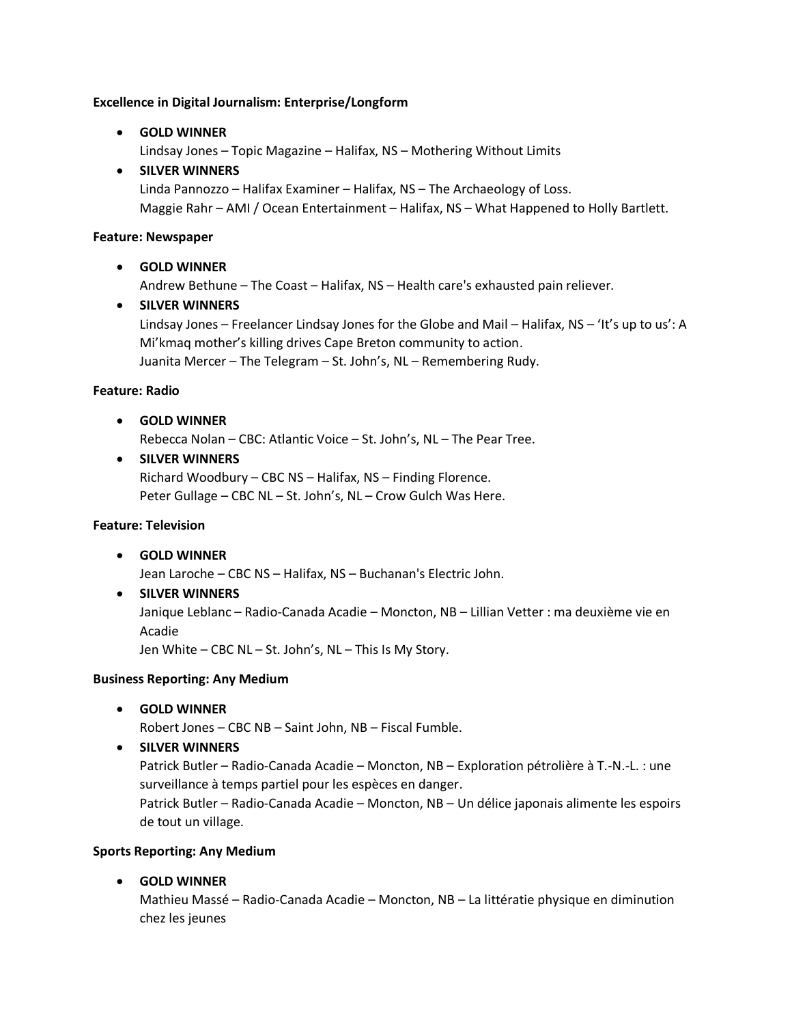#### **Excellence in Digital Journalism: Enterprise/Longform**

• **GOLD WINNER**

Lindsay Jones – Topic Magazine – Halifax, NS – Mothering Without Limits

#### • **SILVER WINNERS**

Linda Pannozzo – Halifax Examiner – Halifax, NS – The Archaeology of Loss. Maggie Rahr – AMI / Ocean Entertainment – Halifax, NS – What Happened to Holly Bartlett.

#### **Feature: Newspaper**

### • **GOLD WINNER**

Andrew Bethune – The Coast – Halifax, NS – Health care's exhausted pain reliever.

# • **SILVER WINNERS**

Lindsay Jones – Freelancer Lindsay Jones for the Globe and Mail – Halifax, NS – 'It's up to us': A Mi'kmaq mother's killing drives Cape Breton community to action. Juanita Mercer – The Telegram – St. John's, NL – Remembering Rudy.

#### **Feature: Radio**

• **GOLD WINNER**

Rebecca Nolan – CBC: Atlantic Voice – St. John's, NL – The Pear Tree.

#### • **SILVER WINNERS**

Richard Woodbury – CBC NS – Halifax, NS – Finding Florence. Peter Gullage – CBC NL – St. John's, NL – Crow Gulch Was Here.

#### **Feature: Television**

- **GOLD WINNER** Jean Laroche – CBC NS – Halifax, NS – Buchanan's Electric John.
- **SILVER WINNERS** Janique Leblanc – Radio-Canada Acadie – Moncton, NB – Lillian Vetter : ma deuxième vie en Acadie Jen White – CBC NL – St. John's, NL – This Is My Story.

#### **Business Reporting: Any Medium**

• **GOLD WINNER**

Robert Jones – CBC NB – Saint John, NB – Fiscal Fumble.

• **SILVER WINNERS**

Patrick Butler – Radio-Canada Acadie – Moncton, NB – Exploration pétrolière à T.-N.-L. : une surveillance à temps partiel pour les espèces en danger.

Patrick Butler – Radio-Canada Acadie – Moncton, NB – Un délice japonais alimente les espoirs de tout un village.

#### **Sports Reporting: Any Medium**

• **GOLD WINNER**

Mathieu Massé – Radio-Canada Acadie – Moncton, NB – La littératie physique en diminution chez les jeunes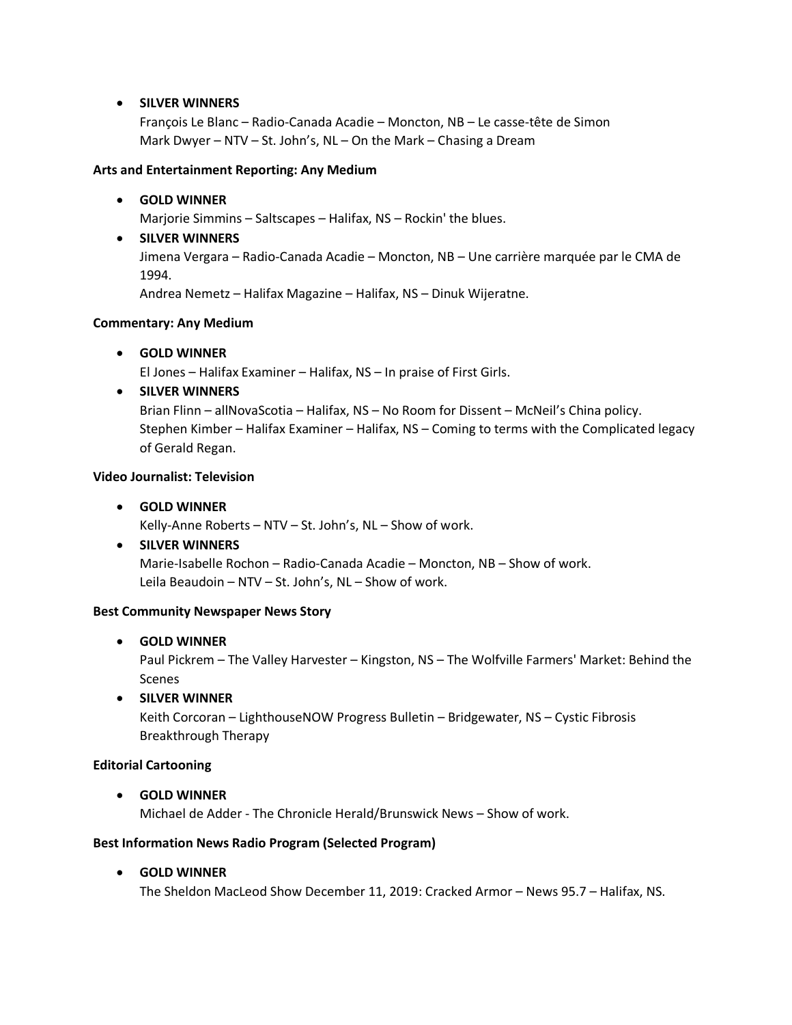### • **SILVER WINNERS**

François Le Blanc – Radio-Canada Acadie – Moncton, NB – Le casse-tête de Simon Mark Dwyer – NTV – St. John's, NL – On the Mark – Chasing a Dream

#### **Arts and Entertainment Reporting: Any Medium**

• **GOLD WINNER**

Marjorie Simmins – Saltscapes – Halifax, NS – Rockin' the blues.

• **SILVER WINNERS** Jimena Vergara – Radio-Canada Acadie – Moncton, NB – Une carrière marquée par le CMA de 1994.

Andrea Nemetz – Halifax Magazine – Halifax, NS – Dinuk Wijeratne.

### **Commentary: Any Medium**

• **GOLD WINNER**

El Jones – Halifax Examiner – Halifax, NS – In praise of First Girls.

# • **SILVER WINNERS**

Brian Flinn – allNovaScotia – Halifax, NS – No Room for Dissent – McNeil's China policy. Stephen Kimber – Halifax Examiner – Halifax, NS – Coming to terms with the Complicated legacy of Gerald Regan.

# **Video Journalist: Television**

• **GOLD WINNER**

Kelly-Anne Roberts – NTV – St. John's, NL – Show of work.

• **SILVER WINNERS** Marie-Isabelle Rochon – Radio-Canada Acadie – Moncton, NB – Show of work.

Leila Beaudoin – NTV – St. John's, NL – Show of work.

#### **Best Community Newspaper News Story**

# • **GOLD WINNER**

Paul Pickrem – The Valley Harvester – Kingston, NS – The Wolfville Farmers' Market: Behind the Scenes

• **SILVER WINNER**

Keith Corcoran – LighthouseNOW Progress Bulletin – Bridgewater, NS – Cystic Fibrosis Breakthrough Therapy

#### **Editorial Cartooning**

• **GOLD WINNER** Michael de Adder - The Chronicle Herald/Brunswick News – Show of work.

#### **Best Information News Radio Program (Selected Program)**

• **GOLD WINNER**

The Sheldon MacLeod Show December 11, 2019: Cracked Armor – News 95.7 – Halifax, NS.